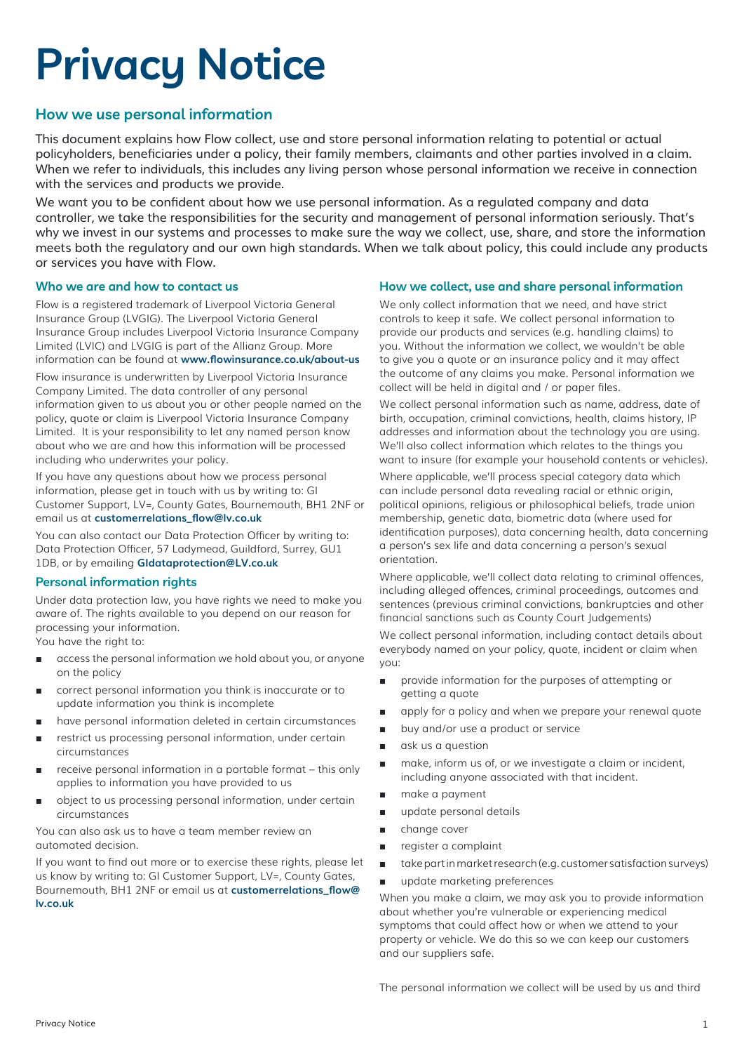# **Privacy Notice**

# **How we use personal information**

This document explains how Flow collect, use and store personal information relating to potential or actual policyholders, beneficiaries under a policy, their family members, claimants and other parties involved in a claim. When we refer to individuals, this includes any living person whose personal information we receive in connection with the services and products we provide.

We want you to be confident about how we use personal information. As a regulated company and data controller, we take the responsibilities for the security and management of personal information seriously. That's why we invest in our systems and processes to make sure the way we collect, use, share, and store the information meets both the regulatory and our own high standards. When we talk about policy, this could include any products or services you have with Flow.

## **Who we are and how to contact us**

Flow is a registered trademark of Liverpool Victoria General Insurance Group (LVGIG). The Liverpool Victoria General Insurance Group includes Liverpool Victoria Insurance Company Limited (LVIC) and LVGIG is part of the Allianz Group. More information can be found at **www.flowinsurance.co.uk/about-us**

Flow insurance is underwritten by Liverpool Victoria Insurance Company Limited. The data controller of any personal information given to us about you or other people named on the policy, quote or claim is Liverpool Victoria Insurance Company Limited. It is your responsibility to let any named person know about who we are and how this information will be processed including who underwrites your policy.

If you have any questions about how we process personal information, please get in touch with us by writing to: GI Customer Support, LV=, County Gates, Bournemouth, BH1 2NF or email us at **customerrelations\_flow@lv.co.uk**

You can also contact our Data Protection Officer by writing to: Data Protection Officer, 57 Ladymead, Guildford, Surrey, GU1 1DB, or by emailing **GIdataprotection@LV.co.uk**

## **Personal information rights**

Under data protection law, you have rights we need to make you aware of. The rights available to you depend on our reason for processing your information.

You have the right to:

- access the personal information we hold about you, or anyone on the policy
- correct personal information you think is inaccurate or to update information you think is incomplete
- have personal information deleted in certain circumstances
- restrict us processing personal information, under certain circumstances
- receive personal information in a portable format this only applies to information you have provided to us
- object to us processing personal information, under certain circumstances

You can also ask us to have a team member review an automated decision.

If you want to find out more or to exercise these rights, please let us know by writing to: GI Customer Support, LV=, County Gates, Bournemouth, BH1 2NF or email us at **customerrelations\_flow@ lv.co.uk** 

## **How we collect, use and share personal information**

We only collect information that we need, and have strict controls to keep it safe. We collect personal information to provide our products and services (e.g. handling claims) to you. Without the information we collect, we wouldn't be able to give you a quote or an insurance policy and it may affect the outcome of any claims you make. Personal information we collect will be held in digital and / or paper files.

We collect personal information such as name, address, date of birth, occupation, criminal convictions, health, claims history, IP addresses and information about the technology you are using. We'll also collect information which relates to the things you want to insure (for example your household contents or vehicles).

Where applicable, we'll process special category data which can include personal data revealing racial or ethnic origin, political opinions, religious or philosophical beliefs, trade union membership, genetic data, biometric data (where used for identification purposes), data concerning health, data concerning a person's sex life and data concerning a person's sexual orientation.

Where applicable, we'll collect data relating to criminal offences, including alleged offences, criminal proceedings, outcomes and sentences (previous criminal convictions, bankruptcies and other financial sanctions such as County Court Judgements)

We collect personal information, including contact details about everybody named on your policy, quote, incident or claim when you:

- provide information for the purposes of attempting or getting a quote
- apply for a policy and when we prepare your renewal quote
- buy and/or use a product or service
- ask us a question
- make, inform us of, or we investigate a claim or incident, including anyone associated with that incident.
- make a payment
- update personal details
- change cover
- register a complaint
- take part in market research (e.g. customer satisfaction surveys)
- update marketing preferences

When you make a claim, we may ask you to provide information about whether you're vulnerable or experiencing medical symptoms that could affect how or when we attend to your property or vehicle. We do this so we can keep our customers and our suppliers safe.

The personal information we collect will be used by us and third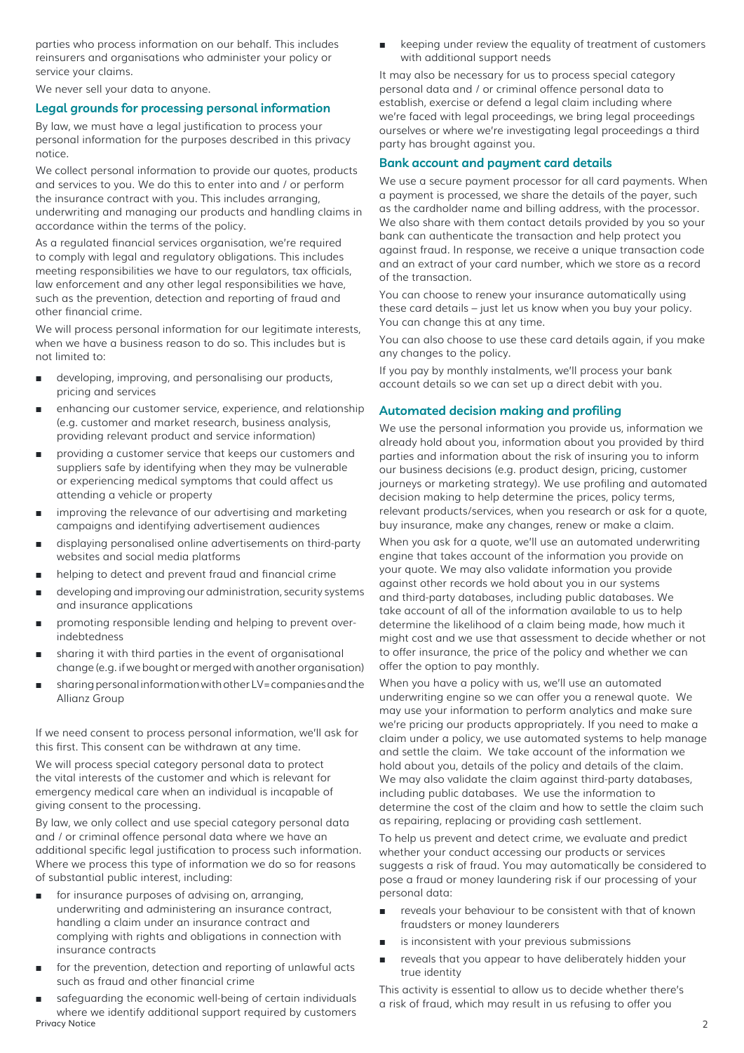parties who process information on our behalf. This includes reinsurers and organisations who administer your policy or service your claims.

We never sell your data to anyone.

## **Legal grounds for processing personal information**

By law, we must have a legal justification to process your personal information for the purposes described in this privacy notice.

We collect personal information to provide our quotes, products and services to you. We do this to enter into and / or perform the insurance contract with you. This includes arranging, underwriting and managing our products and handling claims in accordance within the terms of the policy.

As a regulated financial services organisation, we're required to comply with legal and regulatory obligations. This includes meeting responsibilities we have to our regulators, tax officials, law enforcement and any other legal responsibilities we have, such as the prevention, detection and reporting of fraud and other financial crime.

We will process personal information for our legitimate interests, when we have a business reason to do so. This includes but is not limited to:

- developing, improving, and personalising our products, pricing and services
- enhancing our customer service, experience, and relationship (e.g. customer and market research, business analysis, providing relevant product and service information)
- providing a customer service that keeps our customers and suppliers safe by identifying when they may be vulnerable or experiencing medical symptoms that could affect us attending a vehicle or property
- improving the relevance of our advertising and marketing campaigns and identifying advertisement audiences
- displaying personalised online advertisements on third-party websites and social media platforms
- helping to detect and prevent fraud and financial crime
- developing and improving our administration, security systems and insurance applications
- promoting responsible lending and helping to prevent overindebtedness
- sharing it with third parties in the event of organisational change (e.g. if we bought or merged with another organisation)
- sharing personal information with other LV= companies and the Allianz Group

If we need consent to process personal information, we'll ask for this first. This consent can be withdrawn at any time.

We will process special category personal data to protect the vital interests of the customer and which is relevant for emergency medical care when an individual is incapable of giving consent to the processing.

By law, we only collect and use special category personal data and / or criminal offence personal data where we have an additional specific legal justification to process such information. Where we process this type of information we do so for reasons of substantial public interest, including:

- for insurance purposes of advising on, arranging, underwriting and administering an insurance contract, handling a claim under an insurance contract and complying with rights and obligations in connection with insurance contracts
- for the prevention, detection and reporting of unlawful acts such as fraud and other financial crime
- Privacy Notice 2 safeguarding the economic well-being of certain individuals where we identify additional support required by customers

keeping under review the equality of treatment of customers with additional support needs

It may also be necessary for us to process special category personal data and / or criminal offence personal data to establish, exercise or defend a legal claim including where we're faced with legal proceedings, we bring legal proceedings ourselves or where we're investigating legal proceedings a third party has brought against you.

## **Bank account and payment card details**

We use a secure payment processor for all card payments. When a payment is processed, we share the details of the payer, such as the cardholder name and billing address, with the processor. We also share with them contact details provided by you so your bank can authenticate the transaction and help protect you against fraud. In response, we receive a unique transaction code and an extract of your card number, which we store as a record of the transaction.

You can choose to renew your insurance automatically using these card details – just let us know when you buy your policy. You can change this at any time.

You can also choose to use these card details again, if you make any changes to the policy.

If you pay by monthly instalments, we'll process your bank account details so we can set up a direct debit with you.

## **Automated decision making and profiling**

We use the personal information you provide us, information we already hold about you, information about you provided by third parties and information about the risk of insuring you to inform our business decisions (e.g. product design, pricing, customer journeys or marketing strategy). We use profiling and automated decision making to help determine the prices, policy terms, relevant products/services, when you research or ask for a quote, buy insurance, make any changes, renew or make a claim.

When you ask for a quote, we'll use an automated underwriting engine that takes account of the information you provide on your quote. We may also validate information you provide against other records we hold about you in our systems and third-party databases, including public databases. We take account of all of the information available to us to help determine the likelihood of a claim being made, how much it might cost and we use that assessment to decide whether or not to offer insurance, the price of the policy and whether we can offer the option to pay monthly.

When you have a policy with us, we'll use an automated underwriting engine so we can offer you a renewal quote. We may use your information to perform analytics and make sure we're pricing our products appropriately. If you need to make a claim under a policy, we use automated systems to help manage and settle the claim. We take account of the information we hold about you, details of the policy and details of the claim. We may also validate the claim against third-party databases. including public databases. We use the information to determine the cost of the claim and how to settle the claim such as repairing, replacing or providing cash settlement.

To help us prevent and detect crime, we evaluate and predict whether your conduct accessing our products or services suggests a risk of fraud. You may automatically be considered to pose a fraud or money laundering risk if our processing of your personal data:

- reveals your behaviour to be consistent with that of known fraudsters or money launderers
- is inconsistent with your previous submissions
- reveals that you appear to have deliberately hidden your true identity

This activity is essential to allow us to decide whether there's a risk of fraud, which may result in us refusing to offer you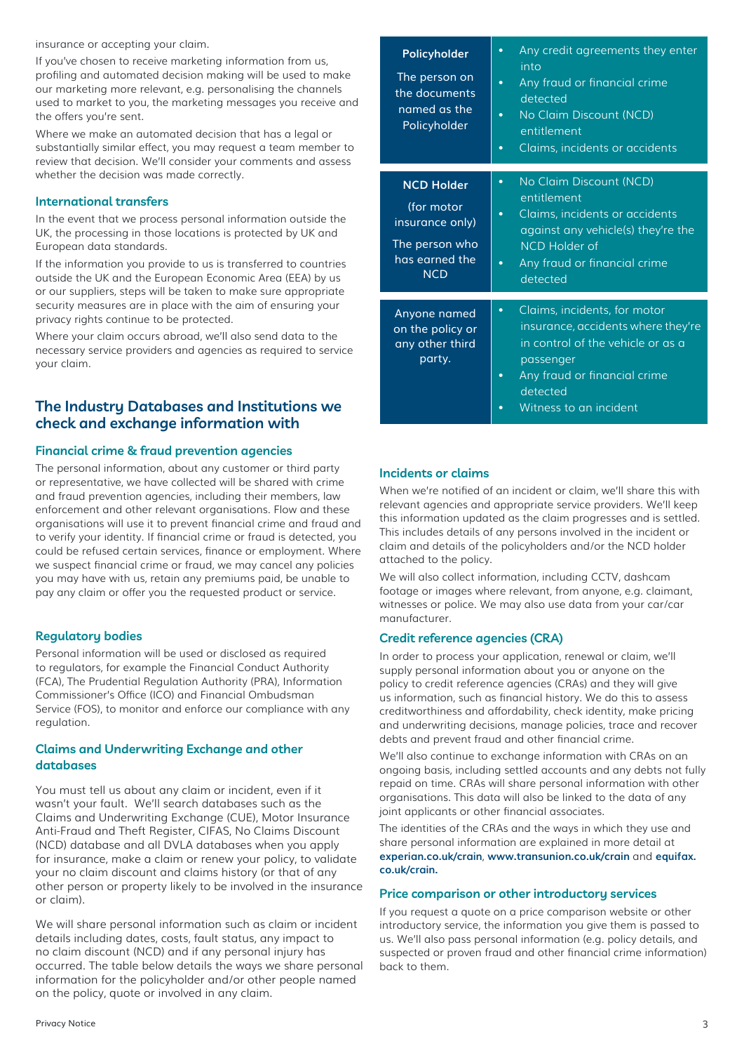insurance or accepting your claim.

If you've chosen to receive marketing information from us, profiling and automated decision making will be used to make our marketing more relevant, e.g. personalising the channels used to market to you, the marketing messages you receive and the offers you're sent.

Where we make an automated decision that has a legal or substantially similar effect, you may request a team member to review that decision. We'll consider your comments and assess whether the decision was made correctly.

## **International transfers**

In the event that we process personal information outside the UK, the processing in those locations is protected by UK and European data standards.

If the information you provide to us is transferred to countries outside the UK and the European Economic Area (EEA) by us or our suppliers, steps will be taken to make sure appropriate security measures are in place with the aim of ensuring your privacy rights continue to be protected.

Where your claim occurs abroad, we'll also send data to the necessary service providers and agencies as required to service your claim.

# **The Industry Databases and Institutions we check and exchange information with**

## **Financial crime & fraud prevention agencies**

The personal information, about any customer or third party or representative, we have collected will be shared with crime and fraud prevention agencies, including their members, law enforcement and other relevant organisations. Flow and these organisations will use it to prevent financial crime and fraud and to verify your identity. If financial crime or fraud is detected, you could be refused certain services, finance or employment. Where we suspect financial crime or fraud, we may cancel any policies you may have with us, retain any premiums paid, be unable to pay any claim or offer you the requested product or service.

#### **Regulatory bodies**

Personal information will be used or disclosed as required to regulators, for example the Financial Conduct Authority (FCA), The Prudential Regulation Authority (PRA), Information Commissioner's Office (ICO) and Financial Ombudsman Service (FOS), to monitor and enforce our compliance with any regulation.

## **Claims and Underwriting Exchange and other databases**

You must tell us about any claim or incident, even if it wasn't your fault. We'll search databases such as the Claims and Underwriting Exchange (CUE), Motor Insurance Anti-Fraud and Theft Register, CIFAS, No Claims Discount (NCD) database and all DVLA databases when you apply for insurance, make a claim or renew your policy, to validate your no claim discount and claims history (or that of any other person or property likely to be involved in the insurance or claim).

We will share personal information such as claim or incident details including dates, costs, fault status, any impact to no claim discount (NCD) and if any personal injury has occurred. The table below details the ways we share personal information for the policyholder and/or other people named on the policy, quote or involved in any claim.

| Policyholder<br>The person on<br>the documents<br>named as the<br>Policyholder                       | Any credit agreements they enter<br>$\bullet$<br>into<br>Any fraud or financial crime<br>$\bullet$<br>detected<br>No Claim Discount (NCD)<br>$\bullet$<br>entitlement<br>Claims, incidents or accidents<br>$\bullet$ |
|------------------------------------------------------------------------------------------------------|----------------------------------------------------------------------------------------------------------------------------------------------------------------------------------------------------------------------|
| <b>NCD Holder</b><br>(for motor<br>insurance only)<br>The person who<br>has earned the<br><b>NCD</b> | No Claim Discount (NCD)<br>$\bullet$<br>entitlement<br>Claims, incidents or accidents<br>$\bullet$<br>against any vehicle(s) they're the<br>NCD Holder of<br>Any fraud or financial crime<br>detected                |
| Anyone named<br>on the policy or<br>any other third<br>party.                                        | Claims, incidents, for motor<br>$\bullet$<br>insurance, accidents where they're<br>in control of the vehicle or as a<br>passenger<br>Any fraud or financial crime<br>$\bullet$<br>detected<br>Witness to an incident |

## **Incidents or claims**

When we're notified of an incident or claim, we'll share this with relevant agencies and appropriate service providers. We'll keep this information updated as the claim progresses and is settled. This includes details of any persons involved in the incident or claim and details of the policyholders and/or the NCD holder attached to the policy.

We will also collect information, including CCTV, dashcam footage or images where relevant, from anyone, e.g. claimant, witnesses or police. We may also use data from your car/car manufacturer.

#### **Credit reference agencies (CRA)**

In order to process your application, renewal or claim, we'll supply personal information about you or anyone on the policy to credit reference agencies (CRAs) and they will give us information, such as financial history. We do this to assess creditworthiness and affordability, check identity, make pricing and underwriting decisions, manage policies, trace and recover debts and prevent fraud and other financial crime.

We'll also continue to exchange information with CRAs on an ongoing basis, including settled accounts and any debts not fully repaid on time. CRAs will share personal information with other organisations. This data will also be linked to the data of any joint applicants or other financial associates.

The identities of the CRAs and the ways in which they use and share personal information are explained in more detail at **experian.co.uk/crain**, **www.transunion.co.uk/crain** and **equifax. co.uk/crain.**

## **Price comparison or other introductory services**

If you request a quote on a price comparison website or other introductory service, the information you give them is passed to us. We'll also pass personal information (e.g. policy details, and suspected or proven fraud and other financial crime information) back to them.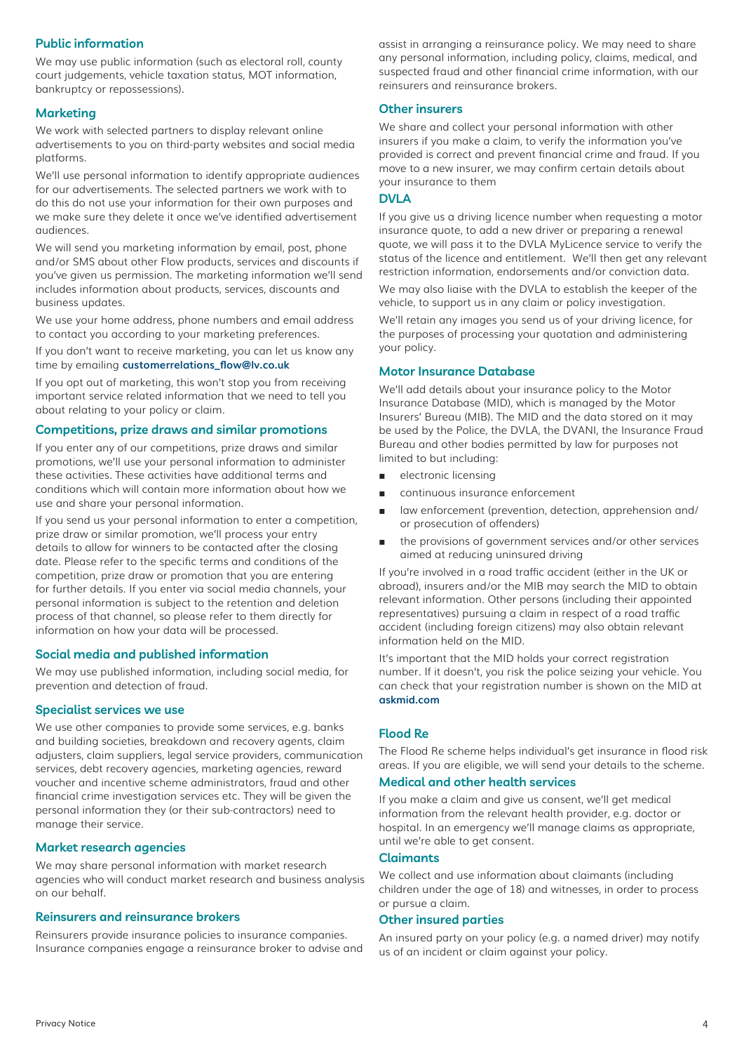## **Public information**

We may use public information (such as electoral roll, county court judgements, vehicle taxation status, MOT information, bankruptcy or repossessions).

## **Marketing**

We work with selected partners to display relevant online advertisements to you on third-party websites and social media platforms.

We'll use personal information to identify appropriate audiences for our advertisements. The selected partners we work with to do this do not use your information for their own purposes and we make sure they delete it once we've identified advertisement audiences.

We will send you marketing information by email, post, phone and/or SMS about other Flow products, services and discounts if you've given us permission. The marketing information we'll send includes information about products, services, discounts and business updates.

We use your home address, phone numbers and email address to contact you according to your marketing preferences.

If you don't want to receive marketing, you can let us know any time by emailing **customerrelations\_flow@lv.co.uk**

If you opt out of marketing, this won't stop you from receiving important service related information that we need to tell you about relating to your policy or claim.

## **Competitions, prize draws and similar promotions**

If you enter any of our competitions, prize draws and similar promotions, we'll use your personal information to administer these activities. These activities have additional terms and conditions which will contain more information about how we use and share your personal information.

If you send us your personal information to enter a competition, prize draw or similar promotion, we'll process your entry details to allow for winners to be contacted after the closing date. Please refer to the specific terms and conditions of the competition, prize draw or promotion that you are entering for further details. If you enter via social media channels, your personal information is subject to the retention and deletion process of that channel, so please refer to them directly for information on how your data will be processed.

#### **Social media and published information**

We may use published information, including social media, for prevention and detection of fraud.

#### **Specialist services we use**

We use other companies to provide some services, e.g. banks and building societies, breakdown and recovery agents, claim adjusters, claim suppliers, legal service providers, communication services, debt recovery agencies, marketing agencies, reward voucher and incentive scheme administrators, fraud and other financial crime investigation services etc. They will be given the personal information they (or their sub-contractors) need to manage their service.

#### **Market research agencies**

We may share personal information with market research agencies who will conduct market research and business analysis on our behalf.

#### **Reinsurers and reinsurance brokers**

Reinsurers provide insurance policies to insurance companies. Insurance companies engage a reinsurance broker to advise and assist in arranging a reinsurance policy. We may need to share any personal information, including policy, claims, medical, and suspected fraud and other financial crime information, with our reinsurers and reinsurance brokers.

#### **Other insurers**

We share and collect your personal information with other insurers if you make a claim, to verify the information you've provided is correct and prevent financial crime and fraud. If you move to a new insurer, we may confirm certain details about your insurance to them

### **DVI A**

If you give us a driving licence number when requesting a motor insurance quote, to add a new driver or preparing a renewal quote, we will pass it to the DVLA MyLicence service to verify the status of the licence and entitlement. We'll then get any relevant restriction information, endorsements and/or conviction data.

We may also liaise with the DVLA to establish the keeper of the vehicle, to support us in any claim or policy investigation.

We'll retain any images you send us of your driving licence, for the purposes of processing your quotation and administering your policy.

#### **Motor Insurance Database**

We'll add details about your insurance policy to the Motor Insurance Database (MID), which is managed by the Motor Insurers' Bureau (MIB). The MID and the data stored on it may be used by the Police, the DVLA, the DVANI, the Insurance Fraud Bureau and other bodies permitted by law for purposes not limited to but including:

- electronic licensing
- continuous insurance enforcement
- law enforcement (prevention, detection, apprehension and/ or prosecution of offenders)
- the provisions of government services and/or other services aimed at reducing uninsured driving

If you're involved in a road traffic accident (either in the UK or abroad), insurers and/or the MIB may search the MID to obtain relevant information. Other persons (including their appointed representatives) pursuing a claim in respect of a road traffic accident (including foreign citizens) may also obtain relevant information held on the MID.

It's important that the MID holds your correct registration number. If it doesn't, you risk the police seizing your vehicle. You can check that your registration number is shown on the MID at **askmid.com**

## **Flood Re**

The Flood Re scheme helps individual's get insurance in flood risk areas. If you are eligible, we will send your details to the scheme.

#### **Medical and other health services**

If you make a claim and give us consent, we'll get medical information from the relevant health provider, e.g. doctor or hospital. In an emergency we'll manage claims as appropriate, until we're able to get consent.

## **Claimants**

We collect and use information about claimants (including children under the age of 18) and witnesses, in order to process or pursue a claim.

#### **Other insured parties**

An insured party on your policy (e.g. a named driver) may notify us of an incident or claim against your policy.